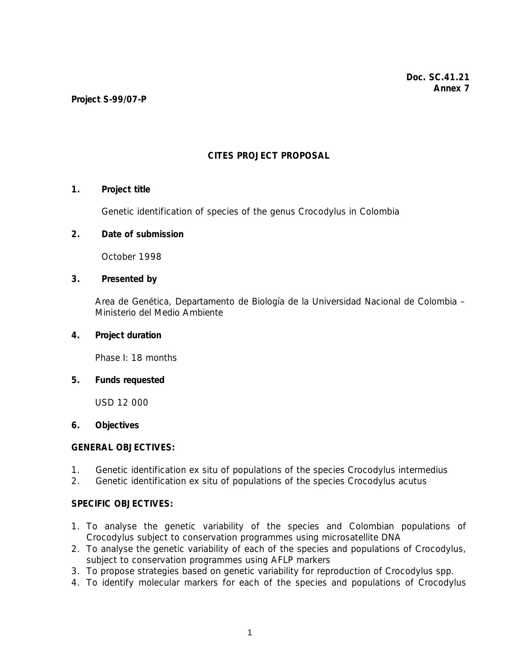# **CITES PROJECT PROPOSAL**

## **1. Project title**

Genetic identification of species of the genus *Crocodylus* in Colombia

## **2. Date of submission**

October 1998

# **3. Presented by**

 Area de Genética, Departamento de Biología de la Universidad Nacional de Colombia – Ministerio del Medio Ambiente

### **4. Project duration**

Phase I: 18 months

#### **5. Funds requested**

USD 12 000

## **6. Objectives**

# **GENERAL OBJECTIVES:**

- 1.Genetic identification ex situ of populations of the species *Crocodylus intermedius*
- 2. Genetic identification ex situ of populations of the species *Crocodylus acutus*

#### **SPECIFIC OBJECTIVES:**

- 1. To analyse the genetic variability of the species and Colombian populations of *Crocodylus* subject to conservation programmes using microsatellite DNA
- 2. To analyse the genetic variability of each of the species and populations of *Crocodylus*, subject to conservation programmes using AFLP markers
- 3. To propose strategies based on genetic variability for reproduction of *Crocodylus* spp.
- 4. To identify molecular markers for each of the species and populations of *Crocodylus*